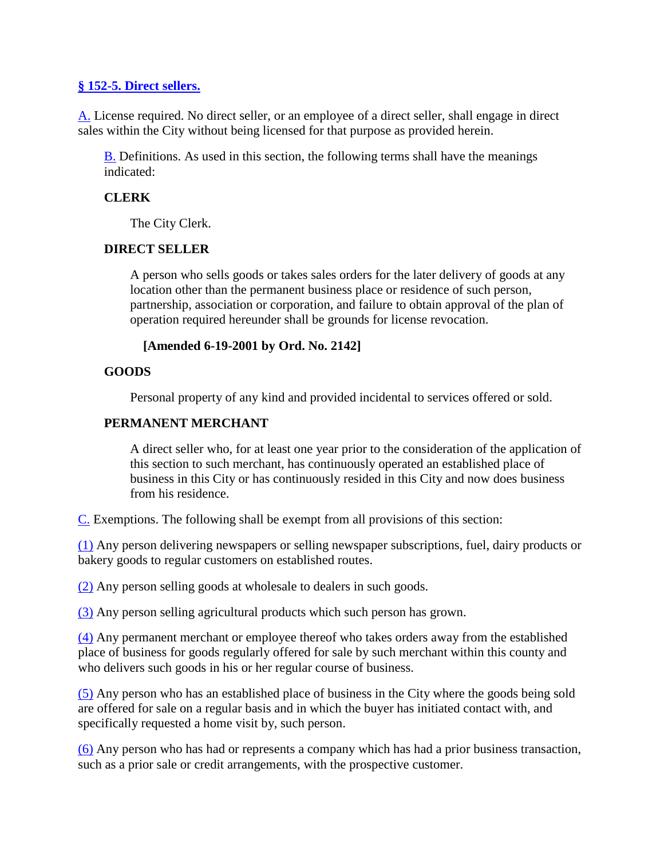## **§ [152-5. Direct sellers.](http://ecode360.com/7765790#7765860)**

[A.](http://ecode360.com/7765790#7765861) License required. No direct seller, or an employee of a direct seller, shall engage in direct sales within the City without being licensed for that purpose as provided herein.

[B.](http://ecode360.com/7765790#7765862) Definitions. As used in this section, the following terms shall have the meanings indicated:

## **CLERK**

The City Clerk.

## **DIRECT SELLER**

A person who sells goods or takes sales orders for the later delivery of goods at any location other than the permanent business place or residence of such person, partnership, association or corporation, and failure to obtain approval of the plan of operation required hereunder shall be grounds for license revocation.

## **[Amended 6-19-2001 by Ord. No. 2142]**

## **GOODS**

Personal property of any kind and provided incidental to services offered or sold.

## **PERMANENT MERCHANT**

A direct seller who, for at least one year prior to the consideration of the application of this section to such merchant, has continuously operated an established place of business in this City or has continuously resided in this City and now does business from his residence.

[C.](http://ecode360.com/7765790#7765867) Exemptions. The following shall be exempt from all provisions of this section:

[\(1\)](http://ecode360.com/7765790#7765868) Any person delivering newspapers or selling newspaper subscriptions, fuel, dairy products or bakery goods to regular customers on established routes.

[\(2\)](http://ecode360.com/7765790#7765869) Any person selling goods at wholesale to dealers in such goods.

[\(3\)](http://ecode360.com/7765790#7765870) Any person selling agricultural products which such person has grown.

[\(4\)](http://ecode360.com/7765790#7765871) Any permanent merchant or employee thereof who takes orders away from the established place of business for goods regularly offered for sale by such merchant within this county and who delivers such goods in his or her regular course of business.

[\(5\)](http://ecode360.com/7765790#7765872) Any person who has an established place of business in the City where the goods being sold are offered for sale on a regular basis and in which the buyer has initiated contact with, and specifically requested a home visit by, such person.

[\(6\)](http://ecode360.com/7765790#7765873) Any person who has had or represents a company which has had a prior business transaction, such as a prior sale or credit arrangements, with the prospective customer.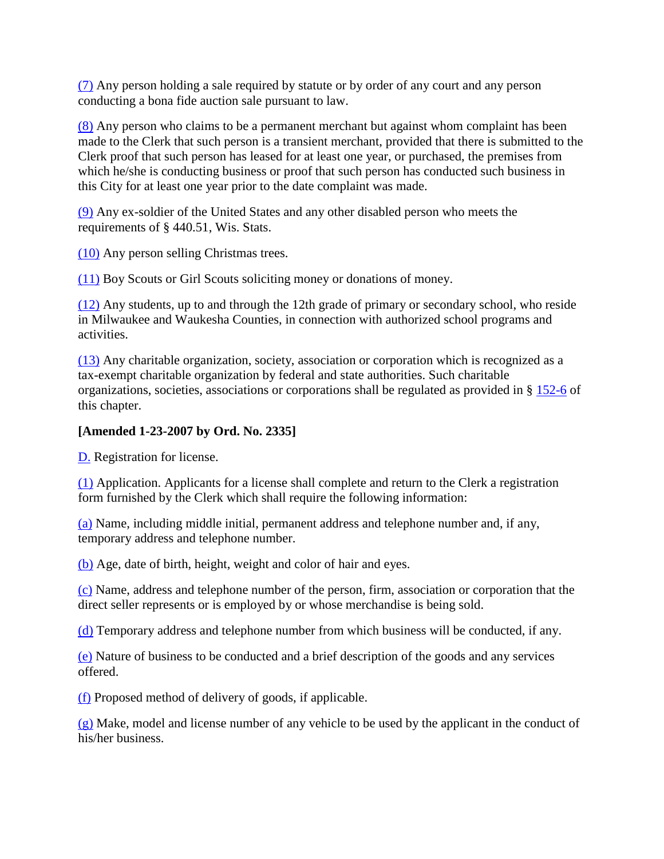[\(7\)](http://ecode360.com/7765790#7765874) Any person holding a sale required by statute or by order of any court and any person conducting a bona fide auction sale pursuant to law.

[\(8\)](http://ecode360.com/7765790#7765875) Any person who claims to be a permanent merchant but against whom complaint has been made to the Clerk that such person is a transient merchant, provided that there is submitted to the Clerk proof that such person has leased for at least one year, or purchased, the premises from which he/she is conducting business or proof that such person has conducted such business in this City for at least one year prior to the date complaint was made.

[\(9\)](http://ecode360.com/7765790#7765876) Any ex-soldier of the United States and any other disabled person who meets the requirements of § 440.51, Wis. Stats.

[\(10\)](http://ecode360.com/7765790#7765877) Any person selling Christmas trees.

[\(11\)](http://ecode360.com/7765790#7765878) Boy Scouts or Girl Scouts soliciting money or donations of money.

[\(12\)](http://ecode360.com/7765790#7765879) Any students, up to and through the 12th grade of primary or secondary school, who reside in Milwaukee and Waukesha Counties, in connection with authorized school programs and activities.

[\(13\)](http://ecode360.com/7765790#7765880) Any charitable organization, society, association or corporation which is recognized as a tax-exempt charitable organization by federal and state authorities. Such charitable organizations, societies, associations or corporations shall be regulated as provided in § [152-6](http://ecode360.com/7765790#7765928) of this chapter.

## **[Amended 1-23-2007 by Ord. No. 2335]**

[D.](http://ecode360.com/7765790#7765881) Registration for license.

[\(1\)](http://ecode360.com/7765790#7765882) Application. Applicants for a license shall complete and return to the Clerk a registration form furnished by the Clerk which shall require the following information:

[\(a\)](http://ecode360.com/7765790#7765883) Name, including middle initial, permanent address and telephone number and, if any, temporary address and telephone number.

[\(b\)](http://ecode360.com/7765790#7765884) Age, date of birth, height, weight and color of hair and eyes.

[\(c\)](http://ecode360.com/7765790#7765885) Name, address and telephone number of the person, firm, association or corporation that the direct seller represents or is employed by or whose merchandise is being sold.

[\(d\)](http://ecode360.com/7765790#7765886) Temporary address and telephone number from which business will be conducted, if any.

[\(e\)](http://ecode360.com/7765790#7765887) Nature of business to be conducted and a brief description of the goods and any services offered.

[\(f\)](http://ecode360.com/7765790#7765888) Proposed method of delivery of goods, if applicable.

 $(g)$  Make, model and license number of any vehicle to be used by the applicant in the conduct of his/her business.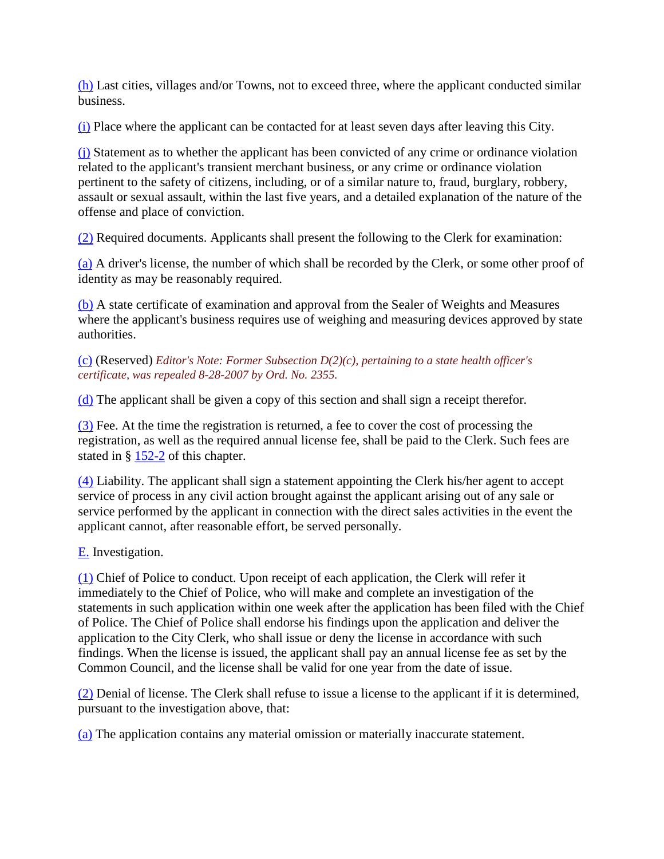[\(h\)](http://ecode360.com/7765790#7765890) Last cities, villages and/or Towns, not to exceed three, where the applicant conducted similar business.

[\(i\)](http://ecode360.com/7765790#7765891) Place where the applicant can be contacted for at least seven days after leaving this City.

[\(j\)](http://ecode360.com/7765790#7765892) Statement as to whether the applicant has been convicted of any crime or ordinance violation related to the applicant's transient merchant business, or any crime or ordinance violation pertinent to the safety of citizens, including, or of a similar nature to, fraud, burglary, robbery, assault or sexual assault, within the last five years, and a detailed explanation of the nature of the offense and place of conviction.

[\(2\)](http://ecode360.com/7765790#7765893) Required documents. Applicants shall present the following to the Clerk for examination:

[\(a\)](http://ecode360.com/7765790#7765894) A driver's license, the number of which shall be recorded by the Clerk, or some other proof of identity as may be reasonably required.

[\(b\)](http://ecode360.com/7765790#7765895) A state certificate of examination and approval from the Sealer of Weights and Measures where the applicant's business requires use of weighing and measuring devices approved by state authorities.

#### [\(c\)](http://ecode360.com/7765790#7765896) (Reserved) *Editor's Note: Former Subsection D(2)(c), pertaining to a state health officer's certificate, was repealed 8-28-2007 by Ord. No. 2355.*

[\(d\)](http://ecode360.com/7765790#7765897) The applicant shall be given a copy of this section and shall sign a receipt therefor.

[\(3\)](http://ecode360.com/7765790#7765898) Fee. At the time the registration is returned, a fee to cover the cost of processing the registration, as well as the required annual license fee, shall be paid to the Clerk. Such fees are stated in  $\S$  [152-2](http://ecode360.com/7765790#7765815) of this chapter.

[\(4\)](http://ecode360.com/7765790#7765899) Liability. The applicant shall sign a statement appointing the Clerk his/her agent to accept service of process in any civil action brought against the applicant arising out of any sale or service performed by the applicant in connection with the direct sales activities in the event the applicant cannot, after reasonable effort, be served personally.

# [E.](http://ecode360.com/7765790#7765900) Investigation.

[\(1\)](http://ecode360.com/7765790#7765901) Chief of Police to conduct. Upon receipt of each application, the Clerk will refer it immediately to the Chief of Police, who will make and complete an investigation of the statements in such application within one week after the application has been filed with the Chief of Police. The Chief of Police shall endorse his findings upon the application and deliver the application to the City Clerk, who shall issue or deny the license in accordance with such findings. When the license is issued, the applicant shall pay an annual license fee as set by the Common Council, and the license shall be valid for one year from the date of issue.

[\(2\)](http://ecode360.com/7765790#7765902) Denial of license. The Clerk shall refuse to issue a license to the applicant if it is determined, pursuant to the investigation above, that:

[\(a\)](http://ecode360.com/7765790#7765903) The application contains any material omission or materially inaccurate statement.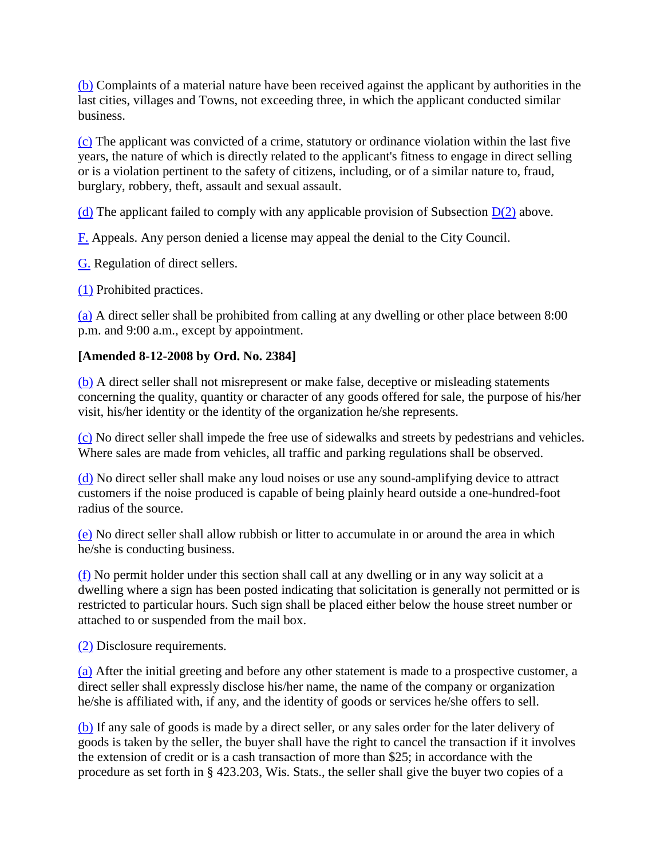[\(b\)](http://ecode360.com/7765790#7765904) Complaints of a material nature have been received against the applicant by authorities in the last cities, villages and Towns, not exceeding three, in which the applicant conducted similar business.

[\(c\)](http://ecode360.com/7765790#7765905) The applicant was convicted of a crime, statutory or ordinance violation within the last five years, the nature of which is directly related to the applicant's fitness to engage in direct selling or is a violation pertinent to the safety of citizens, including, or of a similar nature to, fraud, burglary, robbery, theft, assault and sexual assault.

[\(d\)](http://ecode360.com/7765790#7765906) The applicant failed to comply with any applicable provision of Subsection  $D(2)$  above.

[F.](http://ecode360.com/7765790#7765907) Appeals. Any person denied a license may appeal the denial to the City Council.

[G.](http://ecode360.com/7765790#7765908) Regulation of direct sellers.

[\(1\)](http://ecode360.com/7765790#7765909) Prohibited practices.

[\(a\)](http://ecode360.com/7765790#7765910) A direct seller shall be prohibited from calling at any dwelling or other place between 8:00 p.m. and 9:00 a.m., except by appointment.

# **[Amended 8-12-2008 by Ord. No. 2384]**

[\(b\)](http://ecode360.com/7765790#7765911) A direct seller shall not misrepresent or make false, deceptive or misleading statements concerning the quality, quantity or character of any goods offered for sale, the purpose of his/her visit, his/her identity or the identity of the organization he/she represents.

[\(c\)](http://ecode360.com/7765790#7765912) No direct seller shall impede the free use of sidewalks and streets by pedestrians and vehicles. Where sales are made from vehicles, all traffic and parking regulations shall be observed.

[\(d\)](http://ecode360.com/7765790#7765913) No direct seller shall make any loud noises or use any sound-amplifying device to attract customers if the noise produced is capable of being plainly heard outside a one-hundred-foot radius of the source.

[\(e\)](http://ecode360.com/7765790#7765914) No direct seller shall allow rubbish or litter to accumulate in or around the area in which he/she is conducting business.

[\(f\)](http://ecode360.com/7765790#7765915) No permit holder under this section shall call at any dwelling or in any way solicit at a dwelling where a sign has been posted indicating that solicitation is generally not permitted or is restricted to particular hours. Such sign shall be placed either below the house street number or attached to or suspended from the mail box.

[\(2\)](http://ecode360.com/7765790#7765916) Disclosure requirements.

[\(a\)](http://ecode360.com/7765790#7765917) After the initial greeting and before any other statement is made to a prospective customer, a direct seller shall expressly disclose his/her name, the name of the company or organization he/she is affiliated with, if any, and the identity of goods or services he/she offers to sell.

[\(b\)](http://ecode360.com/7765790#7765918) If any sale of goods is made by a direct seller, or any sales order for the later delivery of goods is taken by the seller, the buyer shall have the right to cancel the transaction if it involves the extension of credit or is a cash transaction of more than \$25; in accordance with the procedure as set forth in § 423.203, Wis. Stats., the seller shall give the buyer two copies of a